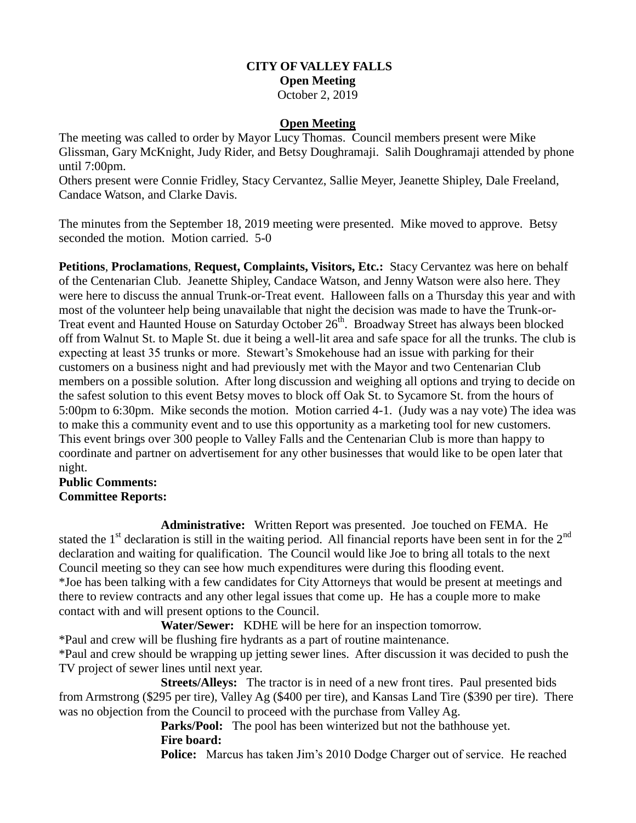# **CITY OF VALLEY FALLS Open Meeting** October 2, 2019

#### **Open Meeting**

The meeting was called to order by Mayor Lucy Thomas. Council members present were Mike Glissman, Gary McKnight, Judy Rider, and Betsy Doughramaji. Salih Doughramaji attended by phone until 7:00pm.

Others present were Connie Fridley, Stacy Cervantez, Sallie Meyer, Jeanette Shipley, Dale Freeland, Candace Watson, and Clarke Davis.

The minutes from the September 18, 2019 meeting were presented. Mike moved to approve. Betsy seconded the motion. Motion carried. 5-0

**Petitions**, **Proclamations**, **Request, Complaints, Visitors, Etc.:** Stacy Cervantez was here on behalf of the Centenarian Club. Jeanette Shipley, Candace Watson, and Jenny Watson were also here. They were here to discuss the annual Trunk-or-Treat event. Halloween falls on a Thursday this year and with most of the volunteer help being unavailable that night the decision was made to have the Trunk-or-Treat event and Haunted House on Saturday October 26<sup>th</sup>. Broadway Street has always been blocked off from Walnut St. to Maple St. due it being a well-lit area and safe space for all the trunks. The club is expecting at least 35 trunks or more. Stewart's Smokehouse had an issue with parking for their customers on a business night and had previously met with the Mayor and two Centenarian Club members on a possible solution. After long discussion and weighing all options and trying to decide on the safest solution to this event Betsy moves to block off Oak St. to Sycamore St. from the hours of 5:00pm to 6:30pm. Mike seconds the motion. Motion carried 4-1. (Judy was a nay vote) The idea was to make this a community event and to use this opportunity as a marketing tool for new customers. This event brings over 300 people to Valley Falls and the Centenarian Club is more than happy to coordinate and partner on advertisement for any other businesses that would like to be open later that night.

### **Public Comments: Committee Reports:**

**Administrative:** Written Report was presented. Joe touched on FEMA. He stated the  $1<sup>st</sup>$  declaration is still in the waiting period. All financial reports have been sent in for the  $2<sup>nd</sup>$ declaration and waiting for qualification. The Council would like Joe to bring all totals to the next Council meeting so they can see how much expenditures were during this flooding event. \*Joe has been talking with a few candidates for City Attorneys that would be present at meetings and there to review contracts and any other legal issues that come up. He has a couple more to make contact with and will present options to the Council.

**Water/Sewer:** KDHE will be here for an inspection tomorrow.

\*Paul and crew will be flushing fire hydrants as a part of routine maintenance.

\*Paul and crew should be wrapping up jetting sewer lines. After discussion it was decided to push the TV project of sewer lines until next year.

**Streets/Alleys:** The tractor is in need of a new front tires. Paul presented bids from Armstrong (\$295 per tire), Valley Ag (\$400 per tire), and Kansas Land Tire (\$390 per tire). There was no objection from the Council to proceed with the purchase from Valley Ag.

 **Parks/Pool:** The pool has been winterized but not the bathhouse yet. **Fire board:** 

**Police:** Marcus has taken Jim's 2010 Dodge Charger out of service. He reached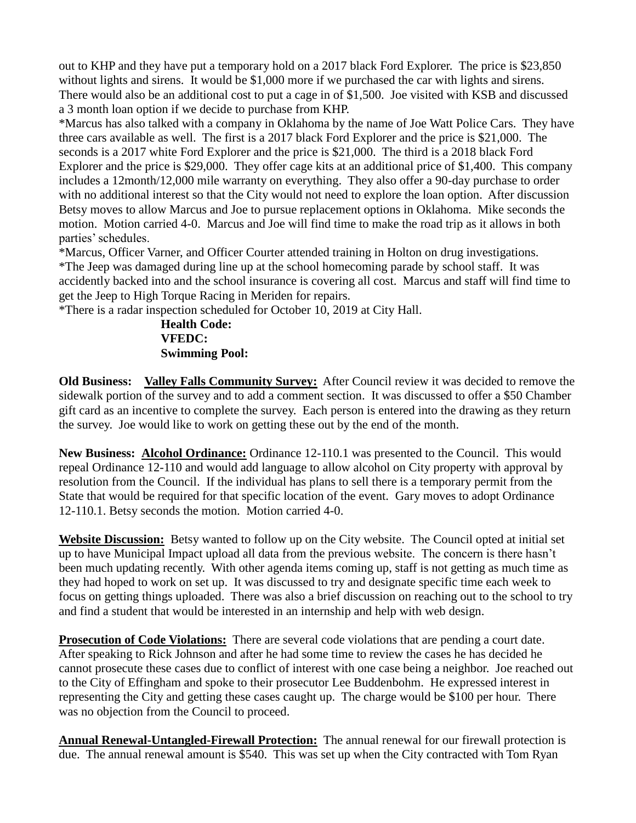out to KHP and they have put a temporary hold on a 2017 black Ford Explorer. The price is \$23,850 without lights and sirens. It would be \$1,000 more if we purchased the car with lights and sirens. There would also be an additional cost to put a cage in of \$1,500. Joe visited with KSB and discussed a 3 month loan option if we decide to purchase from KHP.

\*Marcus has also talked with a company in Oklahoma by the name of Joe Watt Police Cars. They have three cars available as well. The first is a 2017 black Ford Explorer and the price is \$21,000. The seconds is a 2017 white Ford Explorer and the price is \$21,000. The third is a 2018 black Ford Explorer and the price is \$29,000. They offer cage kits at an additional price of \$1,400. This company includes a 12month/12,000 mile warranty on everything. They also offer a 90-day purchase to order with no additional interest so that the City would not need to explore the loan option. After discussion Betsy moves to allow Marcus and Joe to pursue replacement options in Oklahoma. Mike seconds the motion. Motion carried 4-0. Marcus and Joe will find time to make the road trip as it allows in both parties' schedules.

\*Marcus, Officer Varner, and Officer Courter attended training in Holton on drug investigations. \*The Jeep was damaged during line up at the school homecoming parade by school staff. It was accidently backed into and the school insurance is covering all cost. Marcus and staff will find time to get the Jeep to High Torque Racing in Meriden for repairs.

\*There is a radar inspection scheduled for October 10, 2019 at City Hall.

**Health Code: VFEDC: Swimming Pool:** 

**Old Business: Valley Falls Community Survey:** After Council review it was decided to remove the sidewalk portion of the survey and to add a comment section. It was discussed to offer a \$50 Chamber gift card as an incentive to complete the survey. Each person is entered into the drawing as they return the survey. Joe would like to work on getting these out by the end of the month.

**New Business: Alcohol Ordinance:** Ordinance 12-110.1 was presented to the Council. This would repeal Ordinance 12-110 and would add language to allow alcohol on City property with approval by resolution from the Council. If the individual has plans to sell there is a temporary permit from the State that would be required for that specific location of the event. Gary moves to adopt Ordinance 12-110.1. Betsy seconds the motion. Motion carried 4-0.

**Website Discussion:** Betsy wanted to follow up on the City website. The Council opted at initial set up to have Municipal Impact upload all data from the previous website. The concern is there hasn't been much updating recently. With other agenda items coming up, staff is not getting as much time as they had hoped to work on set up. It was discussed to try and designate specific time each week to focus on getting things uploaded. There was also a brief discussion on reaching out to the school to try and find a student that would be interested in an internship and help with web design.

**Prosecution of Code Violations:** There are several code violations that are pending a court date. After speaking to Rick Johnson and after he had some time to review the cases he has decided he cannot prosecute these cases due to conflict of interest with one case being a neighbor. Joe reached out to the City of Effingham and spoke to their prosecutor Lee Buddenbohm. He expressed interest in representing the City and getting these cases caught up. The charge would be \$100 per hour. There was no objection from the Council to proceed.

**Annual Renewal-Untangled-Firewall Protection:** The annual renewal for our firewall protection is due. The annual renewal amount is \$540. This was set up when the City contracted with Tom Ryan